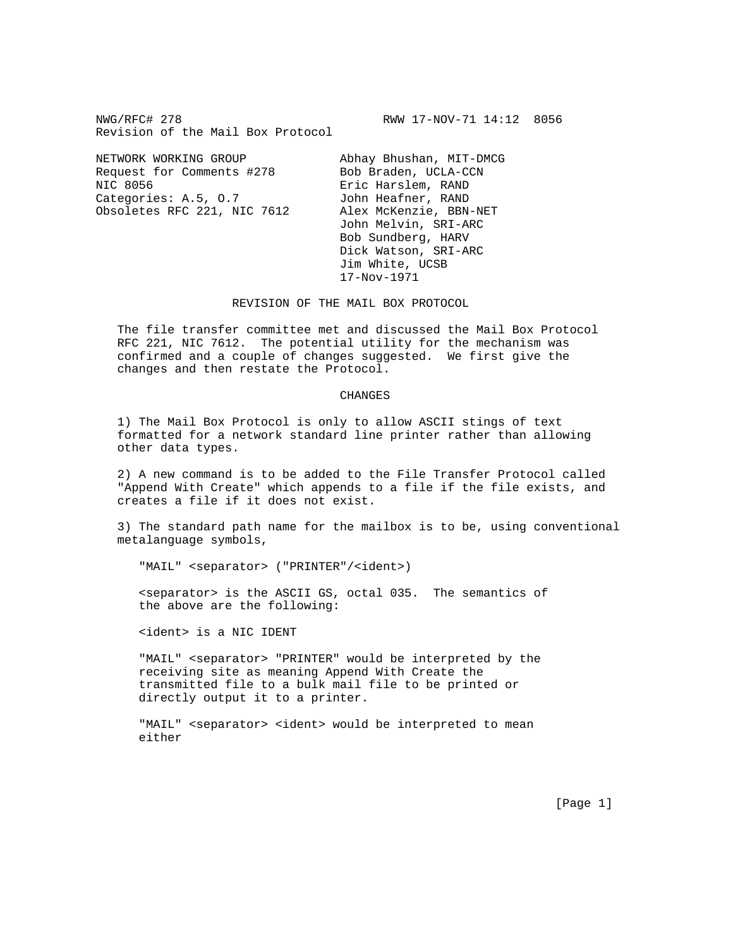NWG/RFC# 278 **RWW 17-NOV-71 14:12 8056** Revision of the Mail Box Protocol

NETWORK WORKING GROUP Abhay Bhushan, MIT-DMCG Request for Comments #278 Bob Braden, UCLA-CCN NIC 8056 **Example 18 Exist Exist Harslem, RAND** Categories: A.5, 0.7 John Heafner, RAND Obsoletes RFC 221, NIC 7612 Alex McKenzie, BBN-NET

 John Melvin, SRI-ARC Bob Sundberg, HARV Dick Watson, SRI-ARC Jim White, UCSB 17-Nov-1971

REVISION OF THE MAIL BOX PROTOCOL

 The file transfer committee met and discussed the Mail Box Protocol RFC 221, NIC 7612. The potential utility for the mechanism was confirmed and a couple of changes suggested. We first give the changes and then restate the Protocol.

## CHANGES

 1) The Mail Box Protocol is only to allow ASCII stings of text formatted for a network standard line printer rather than allowing other data types.

 2) A new command is to be added to the File Transfer Protocol called "Append With Create" which appends to a file if the file exists, and creates a file if it does not exist.

 3) The standard path name for the mailbox is to be, using conventional metalanguage symbols,

"MAIL" <separator> ("PRINTER"/<ident>)

 <separator> is the ASCII GS, octal 035. The semantics of the above are the following:

<ident> is a NIC IDENT

 "MAIL" <separator> "PRINTER" would be interpreted by the receiving site as meaning Append With Create the transmitted file to a bulk mail file to be printed or directly output it to a printer.

"MAIL" <separator> <ident> would be interpreted to mean either

[Page 1]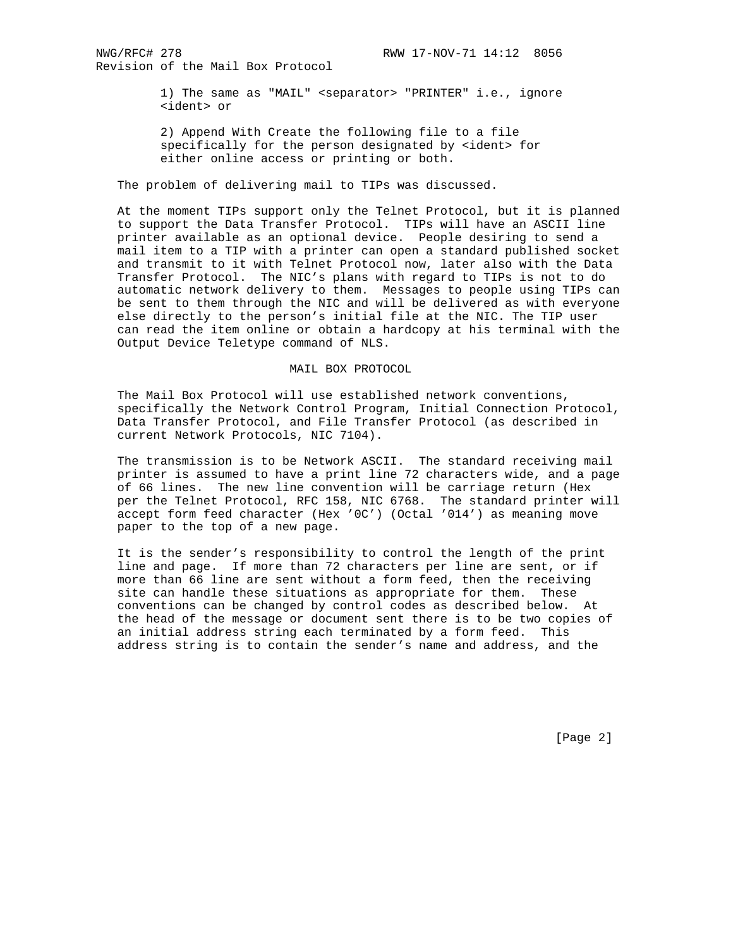Revision of the Mail Box Protocol

 1) The same as "MAIL" <separator> "PRINTER" i.e., ignore <ident> or

 2) Append With Create the following file to a file specifically for the person designated by <ident> for either online access or printing or both.

The problem of delivering mail to TIPs was discussed.

 At the moment TIPs support only the Telnet Protocol, but it is planned to support the Data Transfer Protocol. TIPs will have an ASCII line printer available as an optional device. People desiring to send a mail item to a TIP with a printer can open a standard published socket and transmit to it with Telnet Protocol now, later also with the Data Transfer Protocol. The NIC's plans with regard to TIPs is not to do automatic network delivery to them. Messages to people using TIPs can be sent to them through the NIC and will be delivered as with everyone else directly to the person's initial file at the NIC. The TIP user can read the item online or obtain a hardcopy at his terminal with the Output Device Teletype command of NLS.

## MAIL BOX PROTOCOL

 The Mail Box Protocol will use established network conventions, specifically the Network Control Program, Initial Connection Protocol, Data Transfer Protocol, and File Transfer Protocol (as described in current Network Protocols, NIC 7104).

 The transmission is to be Network ASCII. The standard receiving mail printer is assumed to have a print line 72 characters wide, and a page of 66 lines. The new line convention will be carriage return (Hex per the Telnet Protocol, RFC 158, NIC 6768. The standard printer will accept form feed character (Hex '0C') (Octal '014') as meaning move paper to the top of a new page.

 It is the sender's responsibility to control the length of the print line and page. If more than 72 characters per line are sent, or if more than 66 line are sent without a form feed, then the receiving site can handle these situations as appropriate for them. These conventions can be changed by control codes as described below. At the head of the message or document sent there is to be two copies of an initial address string each terminated by a form feed. This address string is to contain the sender's name and address, and the

[Page 2]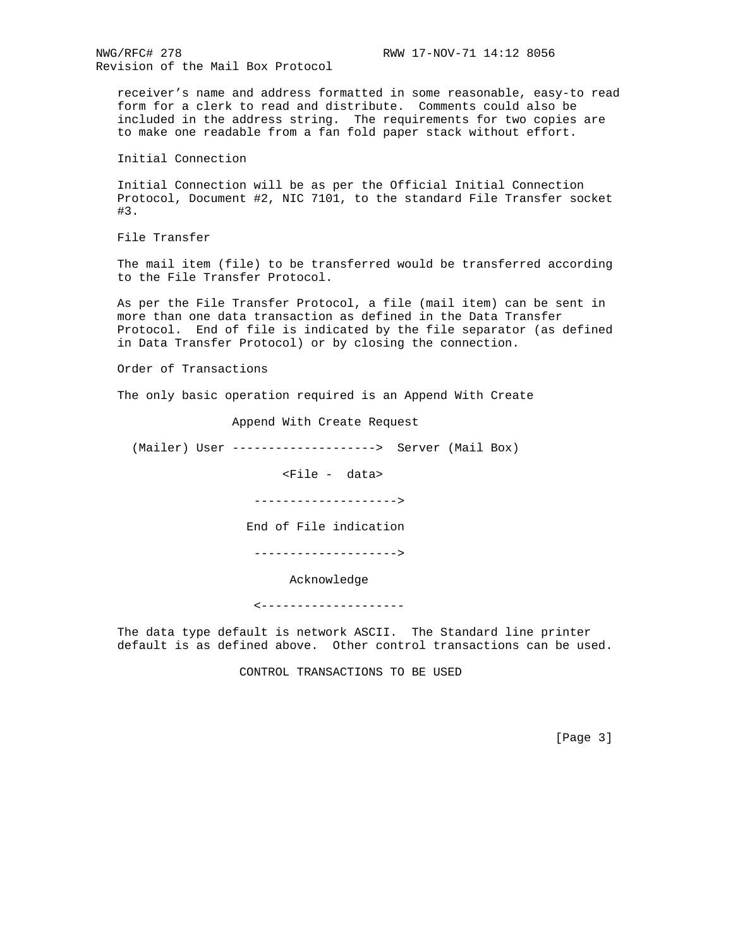NWG/RFC# 278 **RWW 17-NOV-71 14:12 8056** Revision of the Mail Box Protocol

 receiver's name and address formatted in some reasonable, easy-to read form for a clerk to read and distribute. Comments could also be included in the address string. The requirements for two copies are to make one readable from a fan fold paper stack without effort.

Initial Connection

 Initial Connection will be as per the Official Initial Connection Protocol, Document #2, NIC 7101, to the standard File Transfer socket #3.

File Transfer

 The mail item (file) to be transferred would be transferred according to the File Transfer Protocol.

 As per the File Transfer Protocol, a file (mail item) can be sent in more than one data transaction as defined in the Data Transfer Protocol. End of file is indicated by the file separator (as defined in Data Transfer Protocol) or by closing the connection.

Order of Transactions

The only basic operation required is an Append With Create

Append With Create Request

(Mailer) User --------------------> Server (Mail Box)

<File - data>

-------------------->

End of File indication

-------------------->

Acknowledge

<--------------------

 The data type default is network ASCII. The Standard line printer default is as defined above. Other control transactions can be used.

CONTROL TRANSACTIONS TO BE USED

[Page 3]